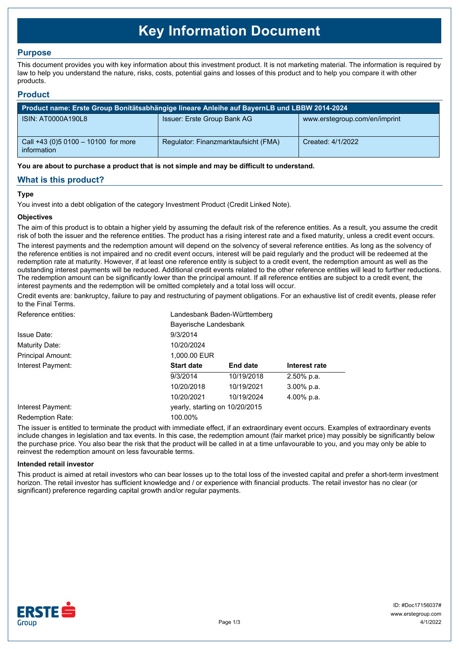# **Key Information Document**

# **Purpose**

This document provides you with key information about this investment product. It is not marketing material. The information is required by law to help you understand the nature, risks, costs, potential gains and losses of this product and to help you compare it with other products.

## **Product**

| Product name: Erste Group Bonitätsabhängige lineare Anleihe auf BayernLB und LBBW 2014-2024 |                                      |                               |  |
|---------------------------------------------------------------------------------------------|--------------------------------------|-------------------------------|--|
| ISIN: AT0000A190L8                                                                          | Issuer: Erste Group Bank AG          | www.erstegroup.com/en/imprint |  |
| Call +43 (0) 5 0100 - 10100 for more<br>information                                         | Regulator: Finanzmarktaufsicht (FMA) | Created: 4/1/2022             |  |

**You are about to purchase a product that is not simple and may be difficult to understand.**

# **What is this product?**

## **Type**

You invest into a debt obligation of the category Investment Product (Credit Linked Note).

## **Objectives**

The aim of this product is to obtain a higher yield by assuming the default risk of the reference entities. As a result, you assume the credit risk of both the issuer and the reference entities. The product has a rising interest rate and a fixed maturity, unless a credit event occurs.

The interest payments and the redemption amount will depend on the solvency of several reference entities. As long as the solvency of the reference entities is not impaired and no credit event occurs, interest will be paid regularly and the product will be redeemed at the redemption rate at maturity. However, if at least one reference entity is subject to a credit event, the redemption amount as well as the outstanding interest payments will be reduced. Additional credit events related to the other reference entities will lead to further reductions. The redemption amount can be significantly lower than the principal amount. If all reference entities are subject to a credit event, the interest payments and the redemption will be omitted completely and a total loss will occur.

Credit events are: bankruptcy, failure to pay and restructuring of payment obligations. For an exhaustive list of credit events, please refer to the Final Terms.

| Reference entities:     | Landesbank Baden-Württemberg   |                 |               |  |
|-------------------------|--------------------------------|-----------------|---------------|--|
|                         | Bayerische Landesbank          |                 |               |  |
| Issue Date:             | 9/3/2014                       |                 |               |  |
| Maturity Date:          | 10/20/2024                     |                 |               |  |
| Principal Amount:       | 1,000.00 EUR                   |                 |               |  |
| Interest Payment:       | <b>Start date</b>              | <b>End date</b> | Interest rate |  |
|                         | 9/3/2014                       | 10/19/2018      | 2.50% p.a.    |  |
|                         | 10/20/2018                     | 10/19/2021      | $3.00\%$ p.a. |  |
|                         | 10/20/2021                     | 10/19/2024      | 4.00% p.a.    |  |
| Interest Payment:       | yearly, starting on 10/20/2015 |                 |               |  |
| <b>Redemption Rate:</b> | 100.00%                        |                 |               |  |

The issuer is entitled to terminate the product with immediate effect, if an extraordinary event occurs. Examples of extraordinary events include changes in legislation and tax events. In this case, the redemption amount (fair market price) may possibly be significantly below the purchase price. You also bear the risk that the product will be called in at a time unfavourable to you, and you may only be able to reinvest the redemption amount on less favourable terms.

#### **Intended retail investor**

This product is aimed at retail investors who can bear losses up to the total loss of the invested capital and prefer a short-term investment horizon. The retail investor has sufficient knowledge and / or experience with financial products. The retail investor has no clear (or significant) preference regarding capital growth and/or regular payments.

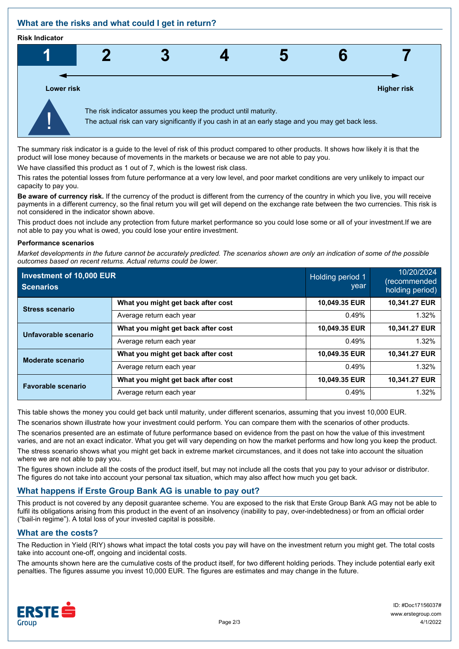# **What are the risks and what could I get in return?**

#### **Risk Indicator**



The summary risk indicator is a guide to the level of risk of this product compared to other products. It shows how likely it is that the product will lose money because of movements in the markets or because we are not able to pay you.

We have classified this product as 1 out of 7, which is the lowest risk class.

This rates the potential losses from future performance at a very low level, and poor market conditions are very unlikely to impact our capacity to pay you.

**Be aware of currency risk.** If the currency of the product is different from the currency of the country in which you live, you will receive payments in a different currency, so the final return you will get will depend on the exchange rate between the two currencies. This risk is not considered in the indicator shown above.

This product does not include any protection from future market performance so you could lose some or all of your investment.If we are not able to pay you what is owed, you could lose your entire investment.

#### **Performance scenarios**

*Market developments in the future cannot be accurately predicted. The scenarios shown are only an indication of some of the possible outcomes based on recent returns. Actual returns could be lower.*

| Investment of 10,000 EUR<br><b>Scenarios</b> |                                    | Holding period 1<br>year | 10/20/2024<br>(recommended<br>holding period) |
|----------------------------------------------|------------------------------------|--------------------------|-----------------------------------------------|
| <b>Stress scenario</b>                       | What you might get back after cost | 10,049.35 EUR            | 10,341.27 EUR                                 |
|                                              | Average return each year           | 0.49%                    | 1.32%                                         |
| Unfavorable scenario                         | What you might get back after cost | 10,049.35 EUR            | 10,341.27 EUR                                 |
|                                              | Average return each year           | 0.49%                    | 1.32%                                         |
| Moderate scenario                            | What you might get back after cost | 10,049.35 EUR            | 10.341.27 EUR                                 |
|                                              | Average return each year           | 0.49%                    | 1.32%                                         |
| <b>Favorable scenario</b>                    | What you might get back after cost | 10,049.35 EUR            | 10,341.27 EUR                                 |
|                                              | Average return each year           | 0.49%                    | 1.32%                                         |

This table shows the money you could get back until maturity, under different scenarios, assuming that you invest 10,000 EUR.

The scenarios shown illustrate how your investment could perform. You can compare them with the scenarios of other products.

The scenarios presented are an estimate of future performance based on evidence from the past on how the value of this investment varies, and are not an exact indicator. What you get will vary depending on how the market performs and how long you keep the product.

The stress scenario shows what you might get back in extreme market circumstances, and it does not take into account the situation where we are not able to pay you.

The figures shown include all the costs of the product itself, but may not include all the costs that you pay to your advisor or distributor. The figures do not take into account your personal tax situation, which may also affect how much you get back.

# **What happens if Erste Group Bank AG is unable to pay out?**

This product is not covered by any deposit guarantee scheme. You are exposed to the risk that Erste Group Bank AG may not be able to fulfil its obligations arising from this product in the event of an insolvency (inability to pay, over-indebtedness) or from an official order ("bail-in regime"). A total loss of your invested capital is possible.

## **What are the costs?**

The Reduction in Yield (RIY) shows what impact the total costs you pay will have on the investment return you might get. The total costs take into account one-off, ongoing and incidental costs.

The amounts shown here are the cumulative costs of the product itself, for two different holding periods. They include potential early exit penalties. The figures assume you invest 10,000 EUR. The figures are estimates and may change in the future.